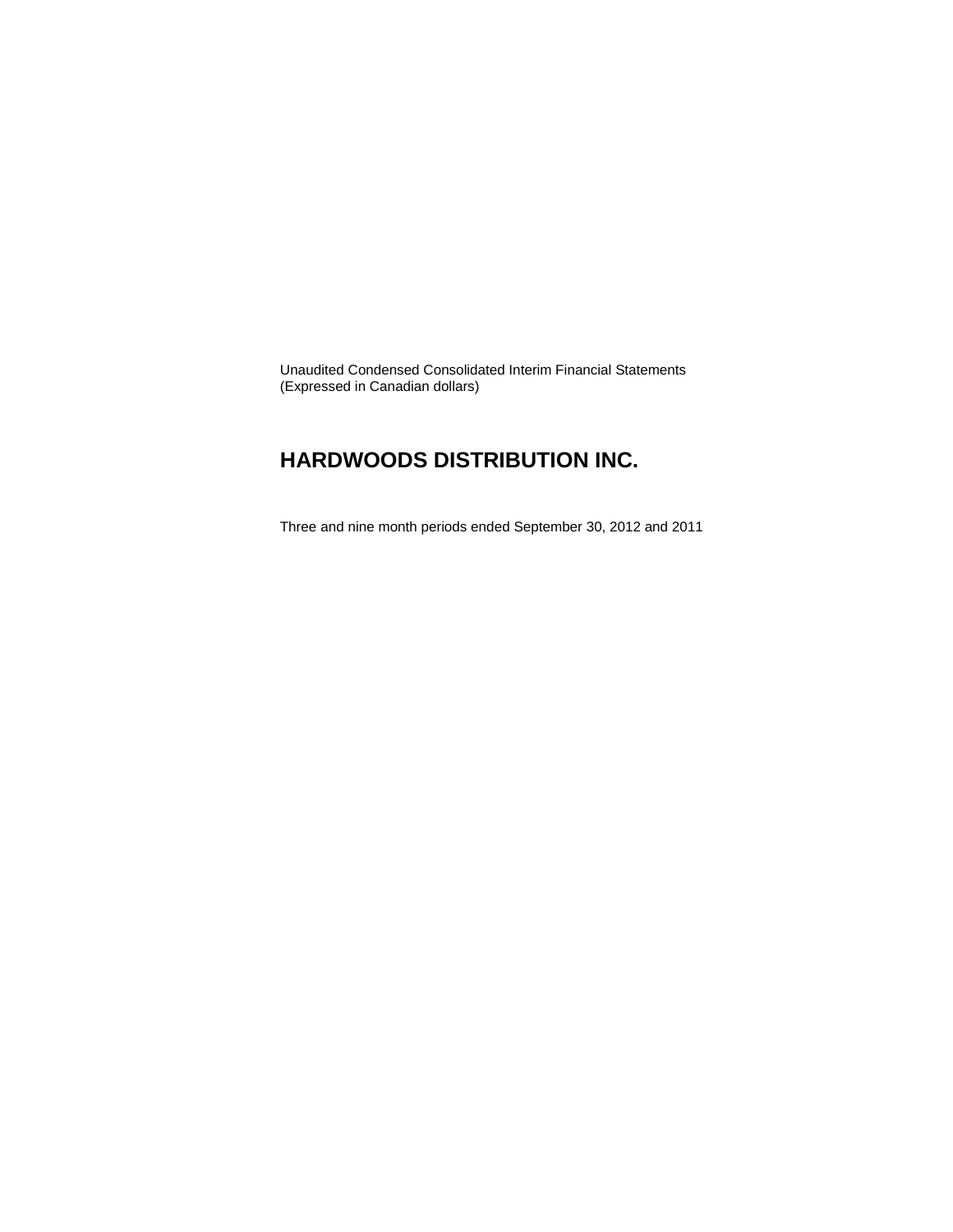Unaudited Condensed Consolidated Interim Financial Statements (Expressed in Canadian dollars)

### **HARDWOODS DISTRIBUTION INC.**

Three and nine month periods ended September 30, 2012 and 2011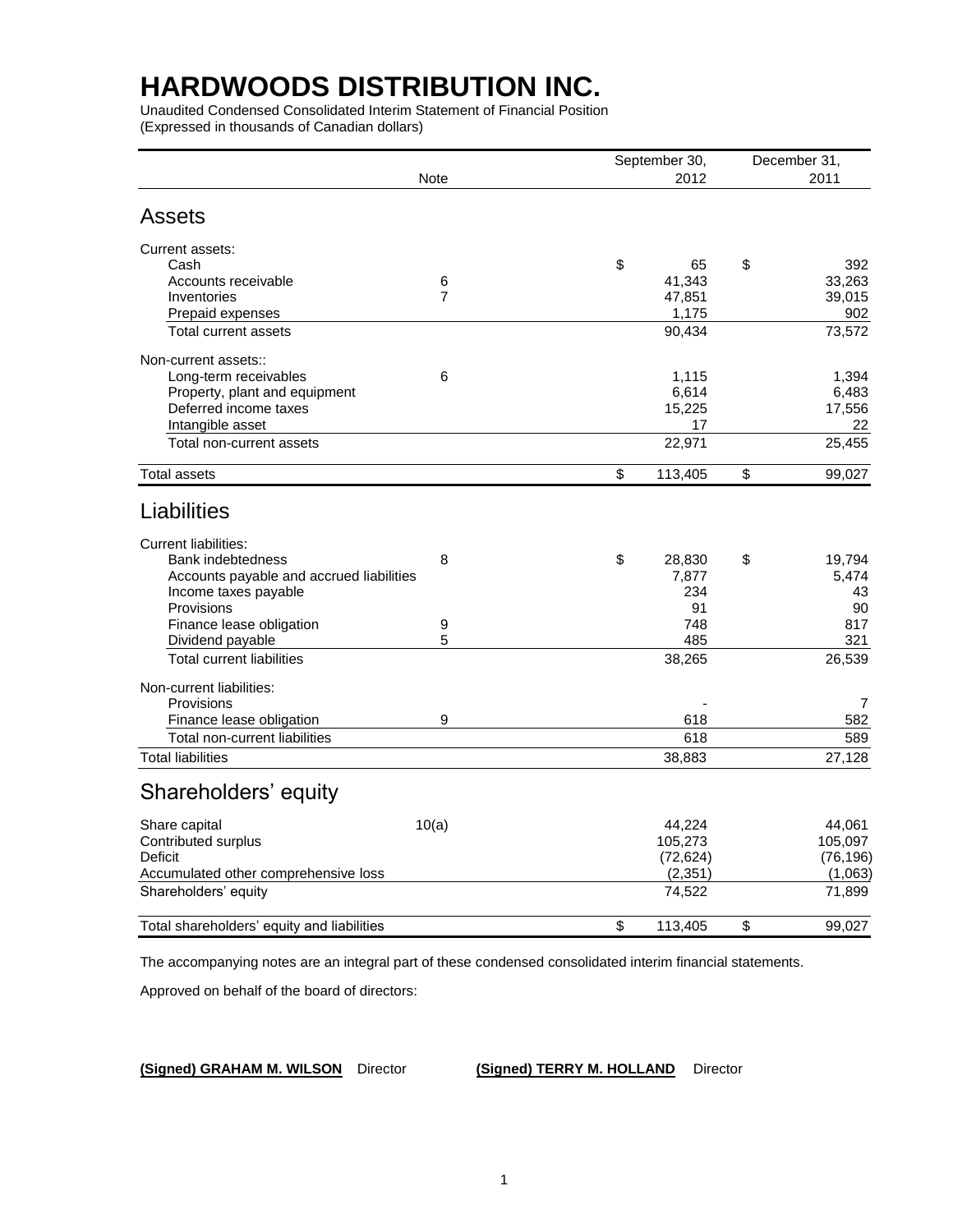Unaudited Condensed Consolidated Interim Statement of Financial Position (Expressed in thousands of Canadian dollars)

|                                            |                |    | September 30, | December 31, |           |  |
|--------------------------------------------|----------------|----|---------------|--------------|-----------|--|
|                                            | <b>Note</b>    |    |               |              | 2011      |  |
| <b>Assets</b>                              |                |    |               |              |           |  |
| Current assets:                            |                |    |               |              |           |  |
| Cash                                       |                | \$ | 65            | \$           | 392       |  |
| Accounts receivable                        | 6              |    | 41,343        |              | 33,263    |  |
| Inventories                                | $\overline{7}$ |    | 47,851        |              | 39,015    |  |
| Prepaid expenses                           |                |    | 1,175         |              | 902       |  |
| Total current assets                       |                |    | 90,434        |              | 73,572    |  |
| Non-current assets::                       |                |    |               |              |           |  |
| Long-term receivables                      | 6              |    | 1,115         |              | 1,394     |  |
| Property, plant and equipment              |                |    | 6,614         |              | 6,483     |  |
| Deferred income taxes                      |                |    | 15,225        |              | 17,556    |  |
| Intangible asset                           |                |    | 17            |              | 22        |  |
| Total non-current assets                   |                |    | 22,971        |              | 25,455    |  |
| <b>Total assets</b>                        |                | \$ | 113,405       | \$           | 99,027    |  |
| Liabilities                                |                |    |               |              |           |  |
| <b>Current liabilities:</b>                |                |    |               |              |           |  |
| <b>Bank indebtedness</b>                   | 8              | \$ | 28,830        | \$           | 19,794    |  |
| Accounts payable and accrued liabilities   |                |    | 7,877         |              | 5,474     |  |
| Income taxes payable                       |                |    | 234           |              | 43        |  |
| Provisions                                 |                |    | 91            |              | 90        |  |
| Finance lease obligation                   | 9              |    | 748           |              | 817       |  |
| Dividend payable                           | 5              |    | 485           |              | 321       |  |
| <b>Total current liabilities</b>           |                |    | 38,265        |              | 26,539    |  |
| Non-current liabilities:                   |                |    |               |              |           |  |
| Provisions                                 |                |    |               |              | 7         |  |
| Finance lease obligation                   | 9              |    | 618           |              | 582       |  |
| Total non-current liabilities              |                |    | 618           |              | 589       |  |
| <b>Total liabilities</b>                   |                |    | 38,883        |              | 27,128    |  |
| Shareholders' equity                       |                |    |               |              |           |  |
| Share capital                              | 10(a)          |    | 44,224        |              | 44,061    |  |
| Contributed surplus                        |                |    | 105,273       |              | 105,097   |  |
| Deficit                                    |                |    | (72, 624)     |              | (76, 196) |  |
| Accumulated other comprehensive loss       |                |    | (2, 351)      |              | (1,063)   |  |
| Shareholders' equity                       |                |    | 74,522        |              | 71,899    |  |
| Total shareholders' equity and liabilities |                | \$ | 113,405       | \$           | 99,027    |  |
|                                            |                |    |               |              |           |  |

The accompanying notes are an integral part of these condensed consolidated interim financial statements.

Approved on behalf of the board of directors:

**(Signed) GRAHAM M. WILSON** Director **(Signed) TERRY M. HOLLAND** Director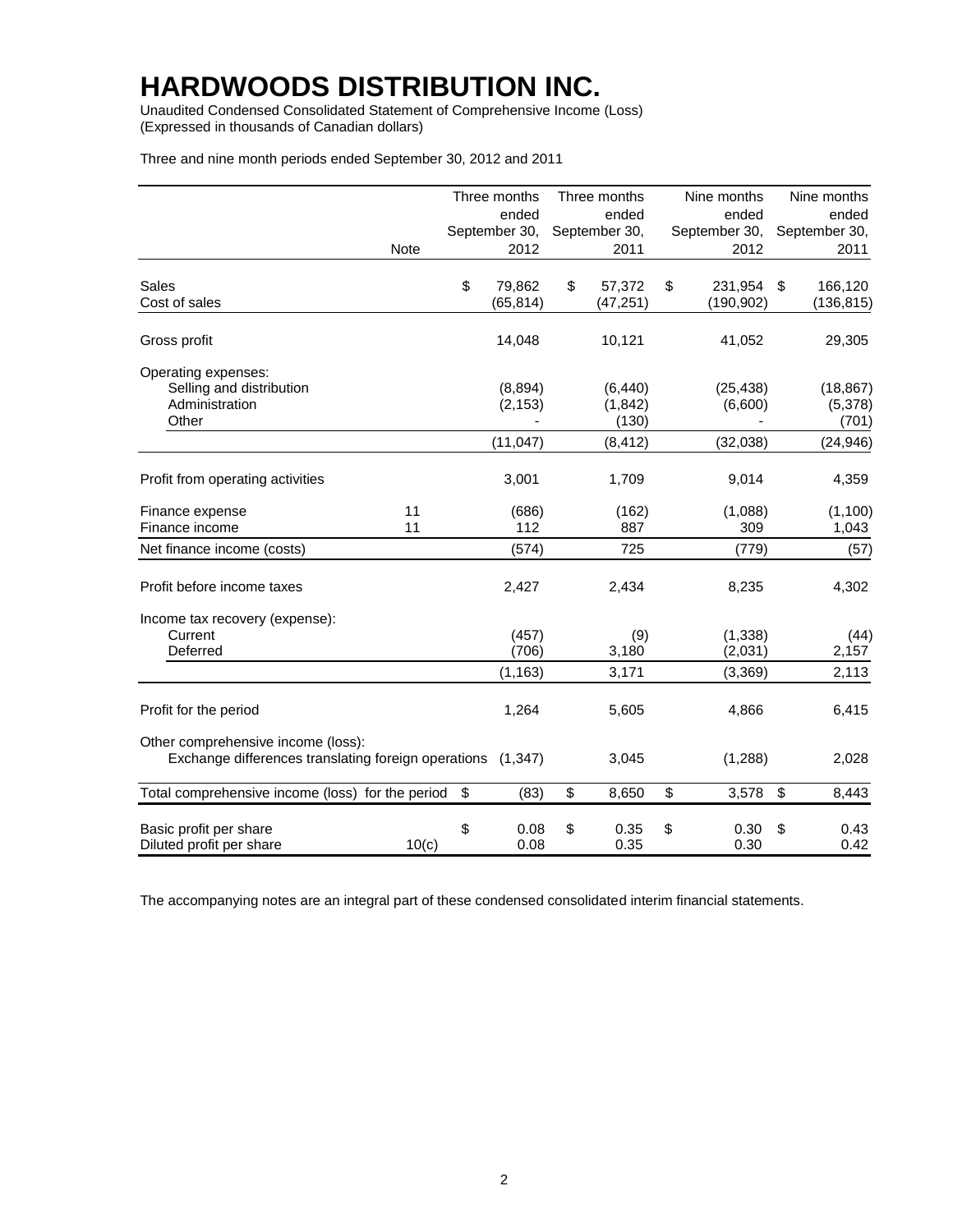Unaudited Condensed Consolidated Statement of Comprehensive Income (Loss) (Expressed in thousands of Canadian dollars)

| Three and nine month periods ended September 30, 2012 and 2011 |  |  |  |
|----------------------------------------------------------------|--|--|--|
|----------------------------------------------------------------|--|--|--|

|                                                                                                   | Three months       | Three months       | Nine months        | Nine months        |
|---------------------------------------------------------------------------------------------------|--------------------|--------------------|--------------------|--------------------|
|                                                                                                   | ended              | ended              | ended              | ended              |
|                                                                                                   | September 30,      | September 30,      | September 30,      | September 30,      |
| Note                                                                                              | 2012               | 2011               | 2012               | 2011               |
| Sales                                                                                             | \$<br>79,862       | \$<br>57,372       | \$<br>231,954      | \$<br>166,120      |
| Cost of sales                                                                                     | (65, 814)          | (47, 251)          | (190,902)          | (136, 815)         |
| Gross profit                                                                                      | 14,048             | 10,121             | 41,052             | 29,305             |
| Operating expenses:                                                                               |                    |                    |                    |                    |
| Selling and distribution                                                                          | (8,894)            | (6, 440)           | (25, 438)          | (18, 867)          |
| Administration                                                                                    | (2, 153)           | (1,842)            | (6,600)            | (5,378)            |
| Other                                                                                             |                    | (130)              |                    | (701)              |
|                                                                                                   | (11, 047)          | (8, 412)           | (32,038)           | (24, 946)          |
| Profit from operating activities                                                                  | 3,001              | 1,709              | 9,014              | 4,359              |
| 11<br>Finance expense                                                                             | (686)              | (162)              | (1,088)            | (1, 100)           |
| Finance income<br>11                                                                              | 112                | 887                | 309                | 1,043              |
| Net finance income (costs)                                                                        | (574)              | 725                | (779)              | (57)               |
| Profit before income taxes                                                                        | 2,427              | 2,434              | 8,235              | 4,302              |
| Income tax recovery (expense):                                                                    |                    |                    |                    |                    |
| Current                                                                                           | (457)              | (9)                | (1, 338)           | (44)               |
| Deferred                                                                                          | (706)              | 3,180              | (2,031)            | 2,157              |
|                                                                                                   | (1, 163)           | 3,171              | (3,369)            | 2,113              |
| Profit for the period                                                                             | 1,264              | 5,605              | 4,866              | 6,415              |
| Other comprehensive income (loss):<br>Exchange differences translating foreign operations (1,347) |                    | 3,045              | (1,288)            | 2,028              |
| Total comprehensive income (loss) for the period                                                  | \$<br>(83)         | \$<br>8,650        | \$<br>3,578        | \$<br>8,443        |
| Basic profit per share<br>Diluted profit per share<br>10(c)                                       | \$<br>0.08<br>0.08 | \$<br>0.35<br>0.35 | \$<br>0.30<br>0.30 | \$<br>0.43<br>0.42 |

The accompanying notes are an integral part of these condensed consolidated interim financial statements.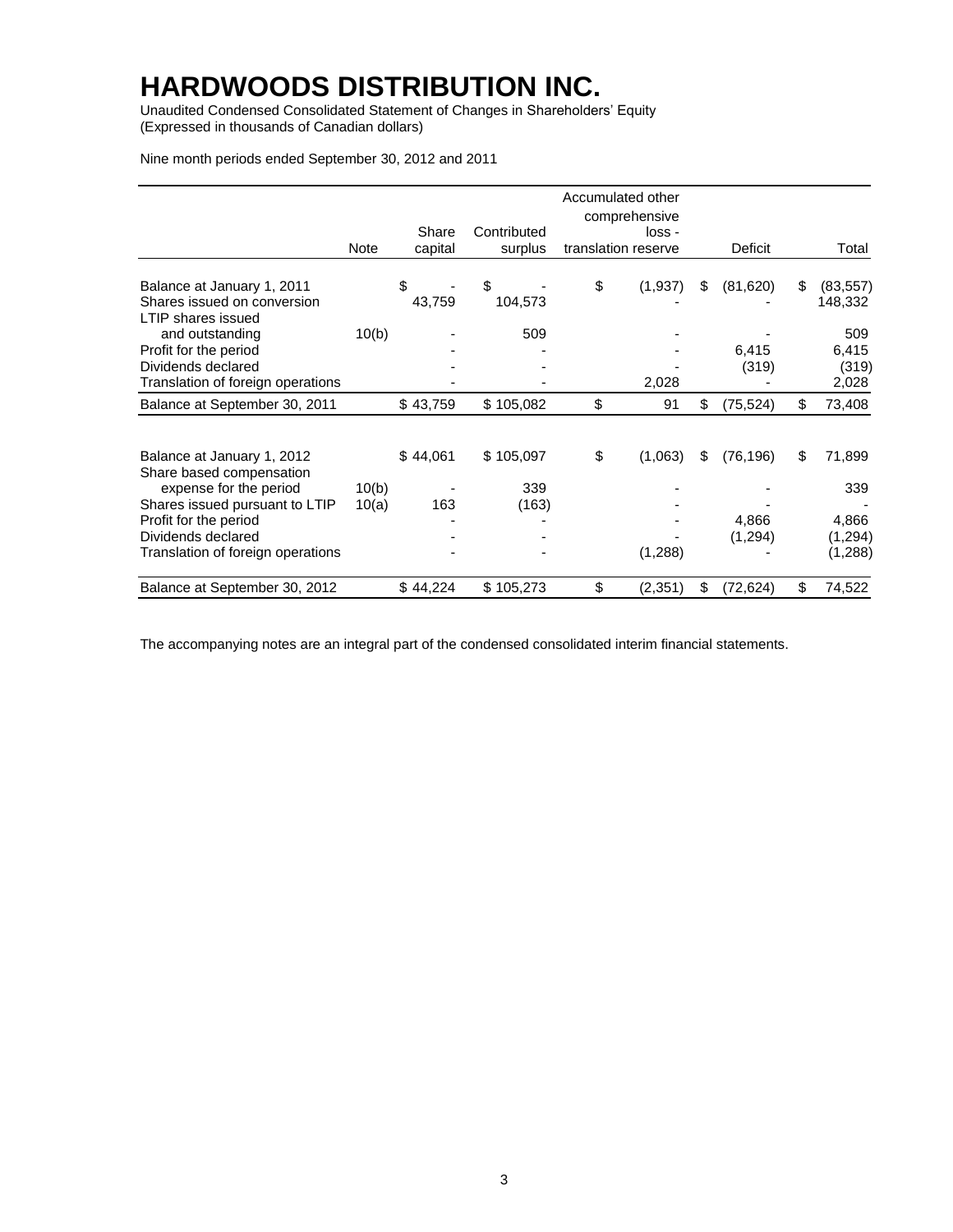Unaudited Condensed Consolidated Statement of Changes in Shareholders' Equity (Expressed in thousands of Canadian dollars)

Nine month periods ended September 30, 2012 and 2011

|                                                                                 |       |                  |                        | Accumulated other   | comprehensive |                 |                            |
|---------------------------------------------------------------------------------|-------|------------------|------------------------|---------------------|---------------|-----------------|----------------------------|
|                                                                                 | Note  | Share<br>capital | Contributed<br>surplus | translation reserve | loss -        | Deficit         | Total                      |
|                                                                                 |       |                  |                        |                     |               |                 |                            |
| Balance at January 1, 2011<br>Shares issued on conversion<br>LTIP shares issued |       | \$<br>43,759     | \$<br>104,573          | \$                  | (1,937)       | \$<br>(81,620)  | \$<br>(83, 557)<br>148,332 |
| and outstanding                                                                 | 10(b) |                  | 509                    |                     |               |                 | 509                        |
| Profit for the period                                                           |       |                  |                        |                     |               | 6,415           | 6,415                      |
| Dividends declared                                                              |       |                  |                        |                     |               | (319)           | (319)                      |
| Translation of foreign operations                                               |       |                  |                        |                     | 2,028         |                 | 2,028                      |
| Balance at September 30, 2011                                                   |       | \$43,759         | \$105,082              | \$                  | 91            | \$<br>(75, 524) | \$<br>73,408               |
| Balance at January 1, 2012                                                      |       | \$44,061         | \$105,097              | \$                  | (1,063)       | \$<br>(76, 196) | \$<br>71,899               |
| Share based compensation                                                        |       |                  |                        |                     |               |                 |                            |
| expense for the period                                                          | 10(b) |                  | 339                    |                     |               |                 | 339                        |
| Shares issued pursuant to LTIP                                                  | 10(a) | 163              | (163)                  |                     |               |                 |                            |
| Profit for the period                                                           |       |                  |                        |                     |               | 4,866           | 4,866                      |
| Dividends declared                                                              |       |                  |                        |                     |               | (1,294)         | (1,294)                    |
| Translation of foreign operations                                               |       |                  |                        |                     | (1,288)       |                 | (1,288)                    |
| Balance at September 30, 2012                                                   |       | \$44,224         | \$105,273              | \$                  | (2, 351)      | \$<br>(72, 624) | \$<br>74,522               |

The accompanying notes are an integral part of the condensed consolidated interim financial statements.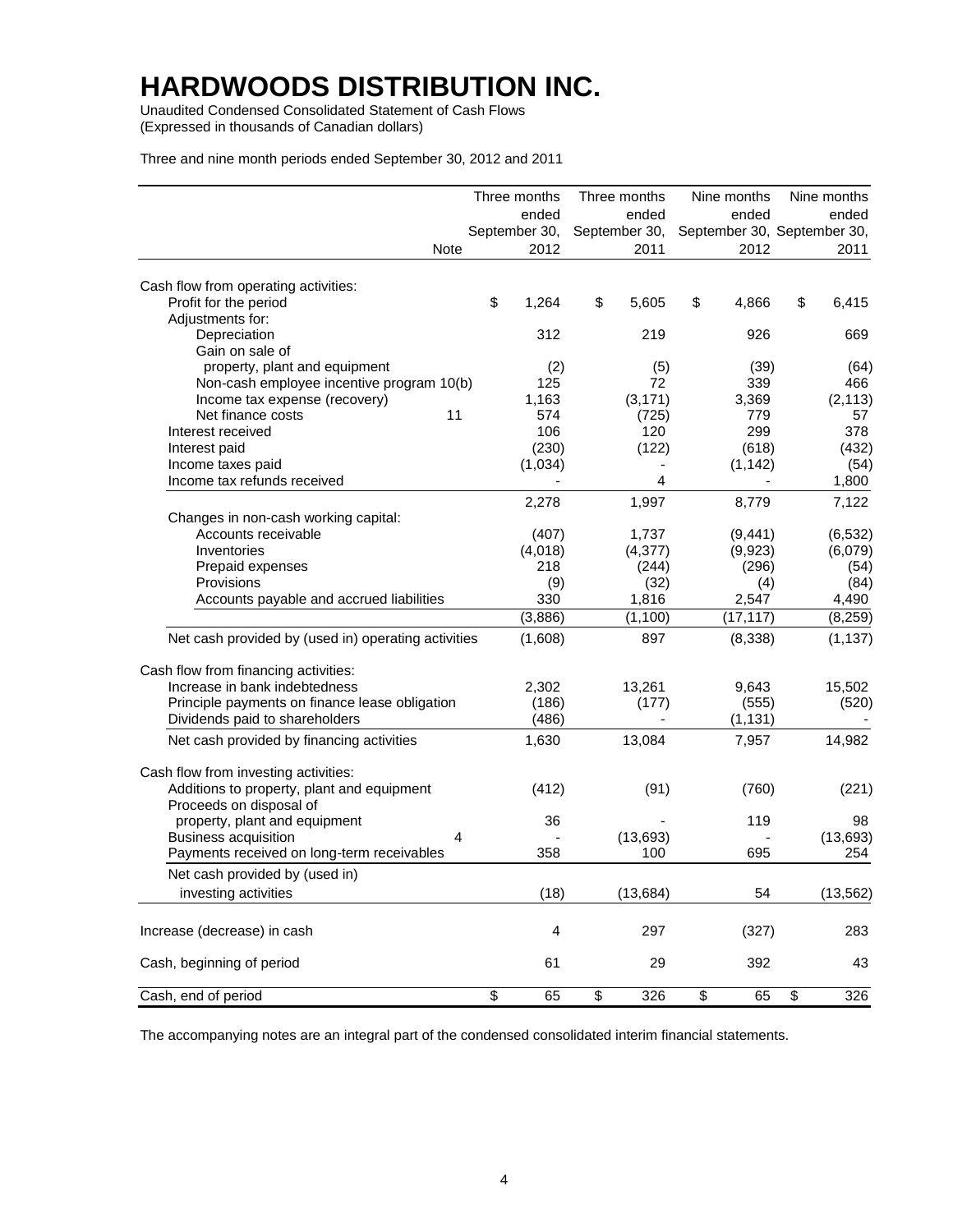Unaudited Condensed Consolidated Statement of Cash Flows (Expressed in thousands of Canadian dollars)

Three and nine month periods ended September 30, 2012 and 2011

|                                                                                    | Three months  | Three months  | Nine months | Nine months                 |
|------------------------------------------------------------------------------------|---------------|---------------|-------------|-----------------------------|
|                                                                                    | ended         | ended         | ended       | ended                       |
|                                                                                    | September 30, | September 30, |             | September 30, September 30, |
| Note                                                                               | 2012          | 2011          | 2012        | 2011                        |
| Cash flow from operating activities:                                               |               |               |             |                             |
| Profit for the period                                                              | \$<br>1,264   | \$<br>5,605   | \$<br>4,866 | \$<br>6,415                 |
| Adjustments for:                                                                   |               |               |             |                             |
| Depreciation                                                                       | 312           | 219           | 926         | 669                         |
| Gain on sale of                                                                    |               |               |             |                             |
| property, plant and equipment                                                      | (2)           | (5)           | (39)        | (64)                        |
| Non-cash employee incentive program 10(b)                                          | 125           | 72            | 339         | 466                         |
| Income tax expense (recovery)                                                      | 1,163         | (3, 171)      | 3,369       | (2, 113)                    |
| Net finance costs<br>11                                                            | 574           | (725)         | 779         | 57                          |
| Interest received                                                                  | 106           | 120           | 299         | 378                         |
| Interest paid                                                                      | (230)         | (122)         | (618)       | (432)                       |
| Income taxes paid                                                                  | (1,034)       |               | (1, 142)    | (54)                        |
| Income tax refunds received                                                        |               | 4             |             | 1,800                       |
|                                                                                    | 2,278         | 1,997         | 8,779       | 7,122                       |
| Changes in non-cash working capital:                                               |               |               |             |                             |
| Accounts receivable                                                                | (407)         | 1,737         | (9, 441)    | (6, 532)                    |
| Inventories                                                                        | (4,018)       | (4, 377)      | (9,923)     | (6,079)                     |
| Prepaid expenses                                                                   | 218           | (244)         | (296)       | (54)                        |
| Provisions                                                                         | (9)           | (32)          | (4)         | (84)                        |
| Accounts payable and accrued liabilities                                           | 330           | 1,816         | 2,547       | 4,490                       |
|                                                                                    | (3,886)       | (1, 100)      | (17, 117)   | (8, 259)                    |
| Net cash provided by (used in) operating activities                                | (1,608)       | 897           | (8,338)     | (1, 137)                    |
|                                                                                    |               |               |             |                             |
| Cash flow from financing activities:                                               |               |               |             |                             |
| Increase in bank indebtedness                                                      | 2,302         | 13,261        | 9,643       | 15,502                      |
| Principle payments on finance lease obligation                                     | (186)         | (177)         | (555)       | (520)                       |
| Dividends paid to shareholders                                                     | (486)         |               | (1, 131)    |                             |
| Net cash provided by financing activities                                          | 1,630         | 13,084        | 7,957       | 14,982                      |
|                                                                                    |               |               |             |                             |
| Cash flow from investing activities:<br>Additions to property, plant and equipment |               |               |             |                             |
| Proceeds on disposal of                                                            | (412)         | (91)          | (760)       | (221)                       |
| property, plant and equipment                                                      | 36            |               | 119         | 98                          |
| <b>Business acquisition</b><br>4                                                   |               | (13, 693)     |             | (13, 693)                   |
| Payments received on long-term receivables                                         | 358           | 100           | 695         | 254                         |
|                                                                                    |               |               |             |                             |
| Net cash provided by (used in)                                                     |               |               |             |                             |
| investing activities                                                               | (18)          | (13, 684)     | 54          | (13, 562)                   |
| Increase (decrease) in cash                                                        | 4             | 297           | (327)       | 283                         |
| Cash, beginning of period                                                          | 61            | 29            | 392         | 43                          |
|                                                                                    |               |               |             |                             |
| Cash, end of period                                                                | \$<br>65      | \$<br>326     | \$<br>65    | \$<br>326                   |

The accompanying notes are an integral part of the condensed consolidated interim financial statements.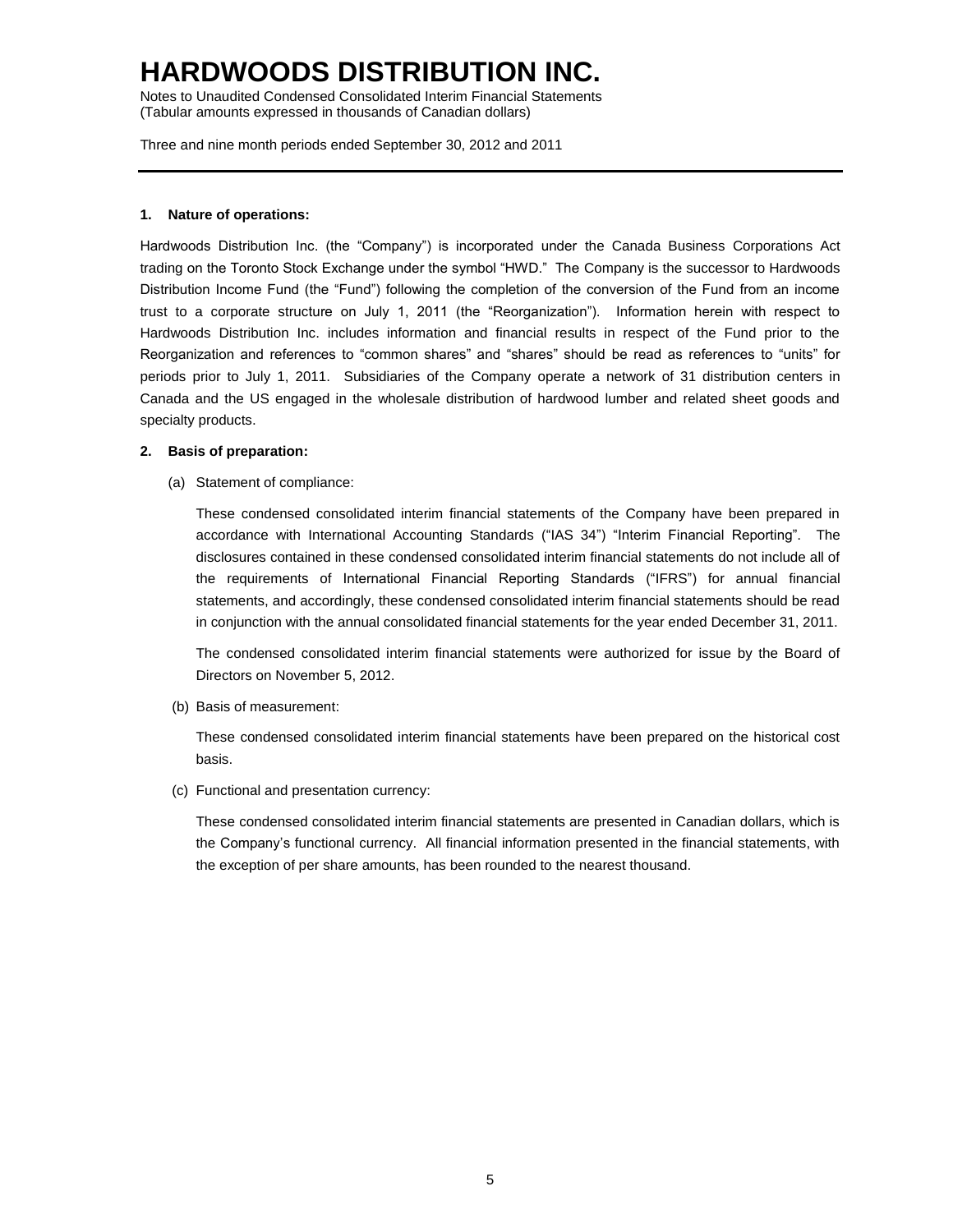Notes to Unaudited Condensed Consolidated Interim Financial Statements (Tabular amounts expressed in thousands of Canadian dollars)

Three and nine month periods ended September 30, 2012 and 2011

### **1. Nature of operations:**

Hardwoods Distribution Inc. (the "Company") is incorporated under the Canada Business Corporations Act trading on the Toronto Stock Exchange under the symbol "HWD." The Company is the successor to Hardwoods Distribution Income Fund (the "Fund") following the completion of the conversion of the Fund from an income trust to a corporate structure on July 1, 2011 (the "Reorganization"). Information herein with respect to Hardwoods Distribution Inc. includes information and financial results in respect of the Fund prior to the Reorganization and references to "common shares" and "shares" should be read as references to "units" for periods prior to July 1, 2011. Subsidiaries of the Company operate a network of 31 distribution centers in Canada and the US engaged in the wholesale distribution of hardwood lumber and related sheet goods and specialty products.

### **2. Basis of preparation:**

(a) Statement of compliance:

These condensed consolidated interim financial statements of the Company have been prepared in accordance with International Accounting Standards ("IAS 34") "Interim Financial Reporting". The disclosures contained in these condensed consolidated interim financial statements do not include all of the requirements of International Financial Reporting Standards ("IFRS") for annual financial statements, and accordingly, these condensed consolidated interim financial statements should be read in conjunction with the annual consolidated financial statements for the year ended December 31, 2011.

The condensed consolidated interim financial statements were authorized for issue by the Board of Directors on November 5, 2012.

(b) Basis of measurement:

These condensed consolidated interim financial statements have been prepared on the historical cost basis.

(c) Functional and presentation currency:

These condensed consolidated interim financial statements are presented in Canadian dollars, which is the Company's functional currency. All financial information presented in the financial statements, with the exception of per share amounts, has been rounded to the nearest thousand.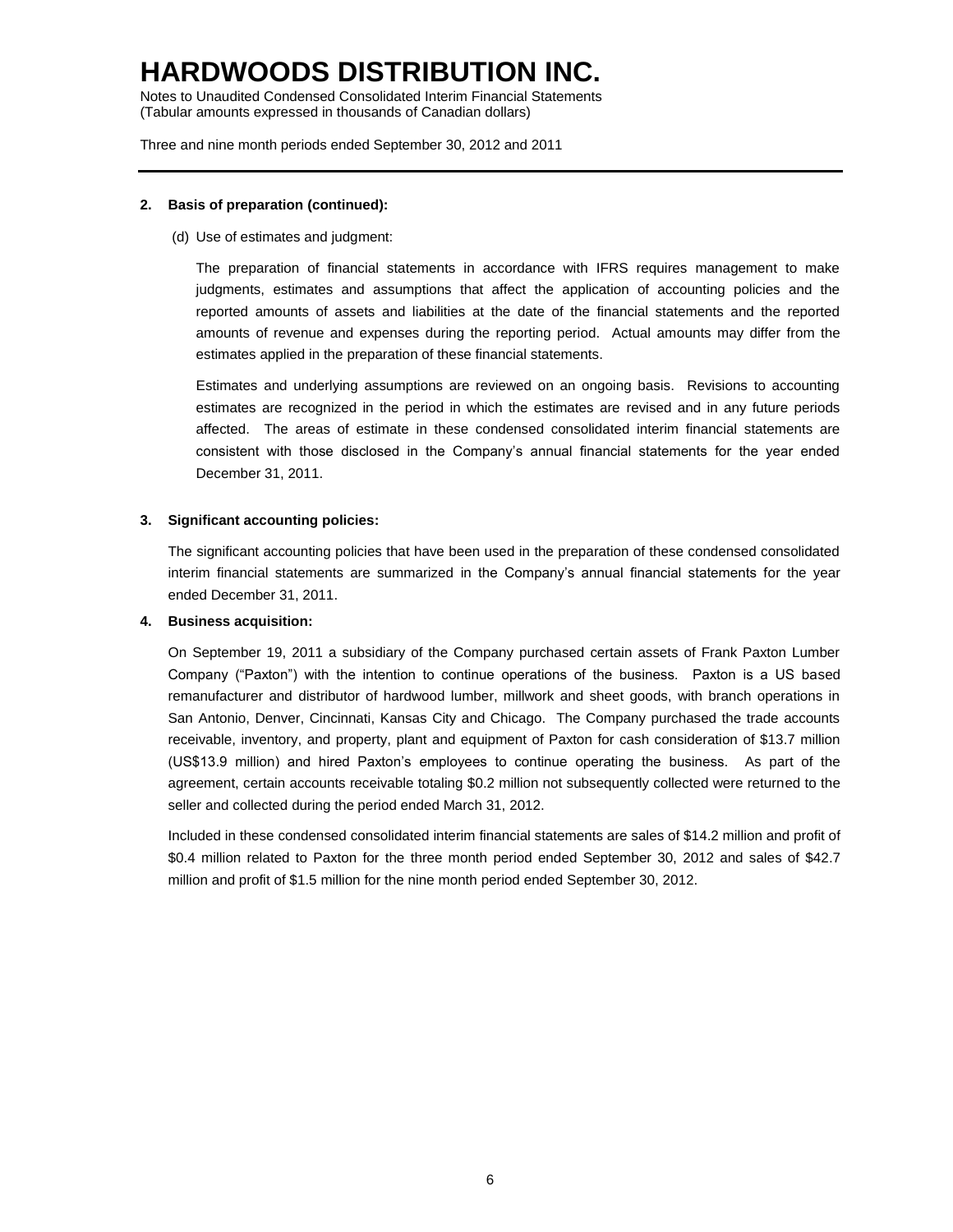Notes to Unaudited Condensed Consolidated Interim Financial Statements (Tabular amounts expressed in thousands of Canadian dollars)

Three and nine month periods ended September 30, 2012 and 2011

### **2. Basis of preparation (continued):**

(d) Use of estimates and judgment:

The preparation of financial statements in accordance with IFRS requires management to make judgments, estimates and assumptions that affect the application of accounting policies and the reported amounts of assets and liabilities at the date of the financial statements and the reported amounts of revenue and expenses during the reporting period. Actual amounts may differ from the estimates applied in the preparation of these financial statements.

Estimates and underlying assumptions are reviewed on an ongoing basis. Revisions to accounting estimates are recognized in the period in which the estimates are revised and in any future periods affected. The areas of estimate in these condensed consolidated interim financial statements are consistent with those disclosed in the Company's annual financial statements for the year ended December 31, 2011.

### **3. Significant accounting policies:**

The significant accounting policies that have been used in the preparation of these condensed consolidated interim financial statements are summarized in the Company's annual financial statements for the year ended December 31, 2011.

### **4. Business acquisition:**

On September 19, 2011 a subsidiary of the Company purchased certain assets of Frank Paxton Lumber Company ("Paxton") with the intention to continue operations of the business. Paxton is a US based remanufacturer and distributor of hardwood lumber, millwork and sheet goods, with branch operations in San Antonio, Denver, Cincinnati, Kansas City and Chicago. The Company purchased the trade accounts receivable, inventory, and property, plant and equipment of Paxton for cash consideration of \$13.7 million (US\$13.9 million) and hired Paxton's employees to continue operating the business. As part of the agreement, certain accounts receivable totaling \$0.2 million not subsequently collected were returned to the seller and collected during the period ended March 31, 2012.

Included in these condensed consolidated interim financial statements are sales of \$14.2 million and profit of \$0.4 million related to Paxton for the three month period ended September 30, 2012 and sales of \$42.7 million and profit of \$1.5 million for the nine month period ended September 30, 2012.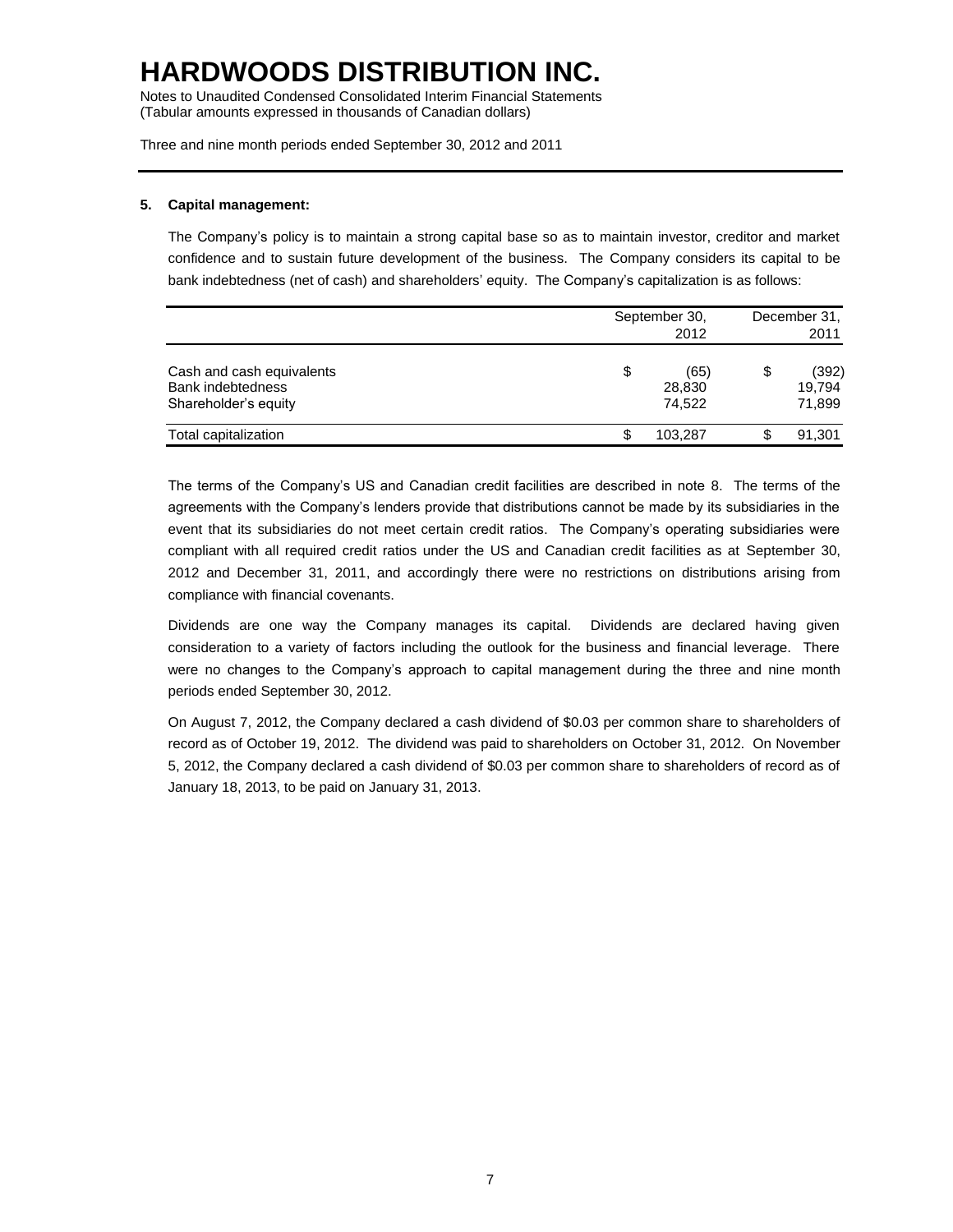Notes to Unaudited Condensed Consolidated Interim Financial Statements (Tabular amounts expressed in thousands of Canadian dollars)

Three and nine month periods ended September 30, 2012 and 2011

### **5. Capital management:**

The Company's policy is to maintain a strong capital base so as to maintain investor, creditor and market confidence and to sustain future development of the business. The Company considers its capital to be bank indebtedness (net of cash) and shareholders' equity. The Company's capitalization is as follows:

|                                                                               | September 30,<br>2012          |    |                           |
|-------------------------------------------------------------------------------|--------------------------------|----|---------------------------|
| Cash and cash equivalents<br><b>Bank indebtedness</b><br>Shareholder's equity | \$<br>(65)<br>28,830<br>74.522 | \$ | (392)<br>19.794<br>71,899 |
| Total capitalization                                                          | 103.287                        | \$ | 91,301                    |

The terms of the Company's US and Canadian credit facilities are described in note 8. The terms of the agreements with the Company's lenders provide that distributions cannot be made by its subsidiaries in the event that its subsidiaries do not meet certain credit ratios. The Company's operating subsidiaries were compliant with all required credit ratios under the US and Canadian credit facilities as at September 30, 2012 and December 31, 2011, and accordingly there were no restrictions on distributions arising from compliance with financial covenants.

Dividends are one way the Company manages its capital. Dividends are declared having given consideration to a variety of factors including the outlook for the business and financial leverage. There were no changes to the Company's approach to capital management during the three and nine month periods ended September 30, 2012.

On August 7, 2012, the Company declared a cash dividend of \$0.03 per common share to shareholders of record as of October 19, 2012. The dividend was paid to shareholders on October 31, 2012. On November 5, 2012, the Company declared a cash dividend of \$0.03 per common share to shareholders of record as of January 18, 2013, to be paid on January 31, 2013.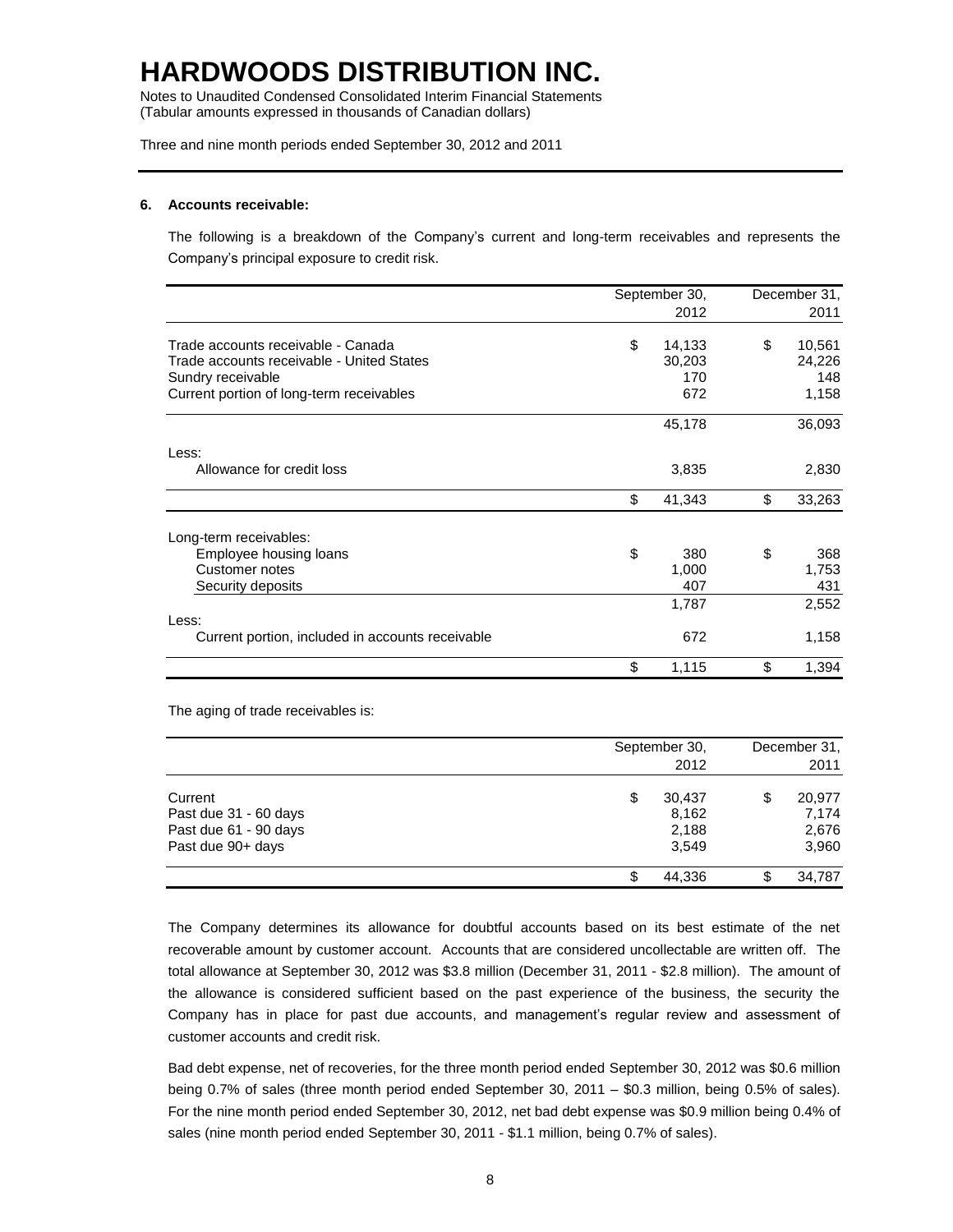Notes to Unaudited Condensed Consolidated Interim Financial Statements (Tabular amounts expressed in thousands of Canadian dollars)

Three and nine month periods ended September 30, 2012 and 2011

#### **6. Accounts receivable:**

The following is a breakdown of the Company's current and long-term receivables and represents the Company's principal exposure to credit risk.

|                                                  | September 30, | December 31, |        |
|--------------------------------------------------|---------------|--------------|--------|
|                                                  | 2012          |              | 2011   |
| Trade accounts receivable - Canada               | \$<br>14,133  | \$           | 10,561 |
| Trade accounts receivable - United States        | 30,203        |              | 24,226 |
| Sundry receivable                                | 170           |              | 148    |
| Current portion of long-term receivables         | 672           |              | 1,158  |
|                                                  | 45,178        |              | 36,093 |
| Less:                                            |               |              |        |
| Allowance for credit loss                        | 3,835         |              | 2,830  |
|                                                  | \$<br>41,343  | \$           | 33,263 |
| Long-term receivables:                           |               |              |        |
| Employee housing loans                           | \$<br>380     | \$           | 368    |
| <b>Customer notes</b>                            | 1,000         |              | 1,753  |
| Security deposits                                | 407           |              | 431    |
|                                                  | 1,787         |              | 2,552  |
| Less:                                            |               |              |        |
| Current portion, included in accounts receivable | 672           |              | 1,158  |
|                                                  | \$<br>1,115   | \$           | 1,394  |

The aging of trade receivables is:

|                                                                                | September 30,                           | 2012 | December 31,<br>2011 |                                   |  |
|--------------------------------------------------------------------------------|-----------------------------------------|------|----------------------|-----------------------------------|--|
| Current<br>Past due 31 - 60 days<br>Past due 61 - 90 days<br>Past due 90+ days | 30,437<br>\$<br>8,162<br>2,188<br>3,549 |      | \$                   | 20,977<br>7.174<br>2,676<br>3,960 |  |
|                                                                                | 44.336                                  |      | S                    | 34,787                            |  |

The Company determines its allowance for doubtful accounts based on its best estimate of the net recoverable amount by customer account. Accounts that are considered uncollectable are written off. The total allowance at September 30, 2012 was \$3.8 million (December 31, 2011 - \$2.8 million). The amount of the allowance is considered sufficient based on the past experience of the business, the security the Company has in place for past due accounts, and management's regular review and assessment of customer accounts and credit risk.

Bad debt expense, net of recoveries, for the three month period ended September 30, 2012 was \$0.6 million being 0.7% of sales (three month period ended September 30, 2011 – \$0.3 million, being 0.5% of sales). For the nine month period ended September 30, 2012, net bad debt expense was \$0.9 million being 0.4% of sales (nine month period ended September 30, 2011 - \$1.1 million, being 0.7% of sales).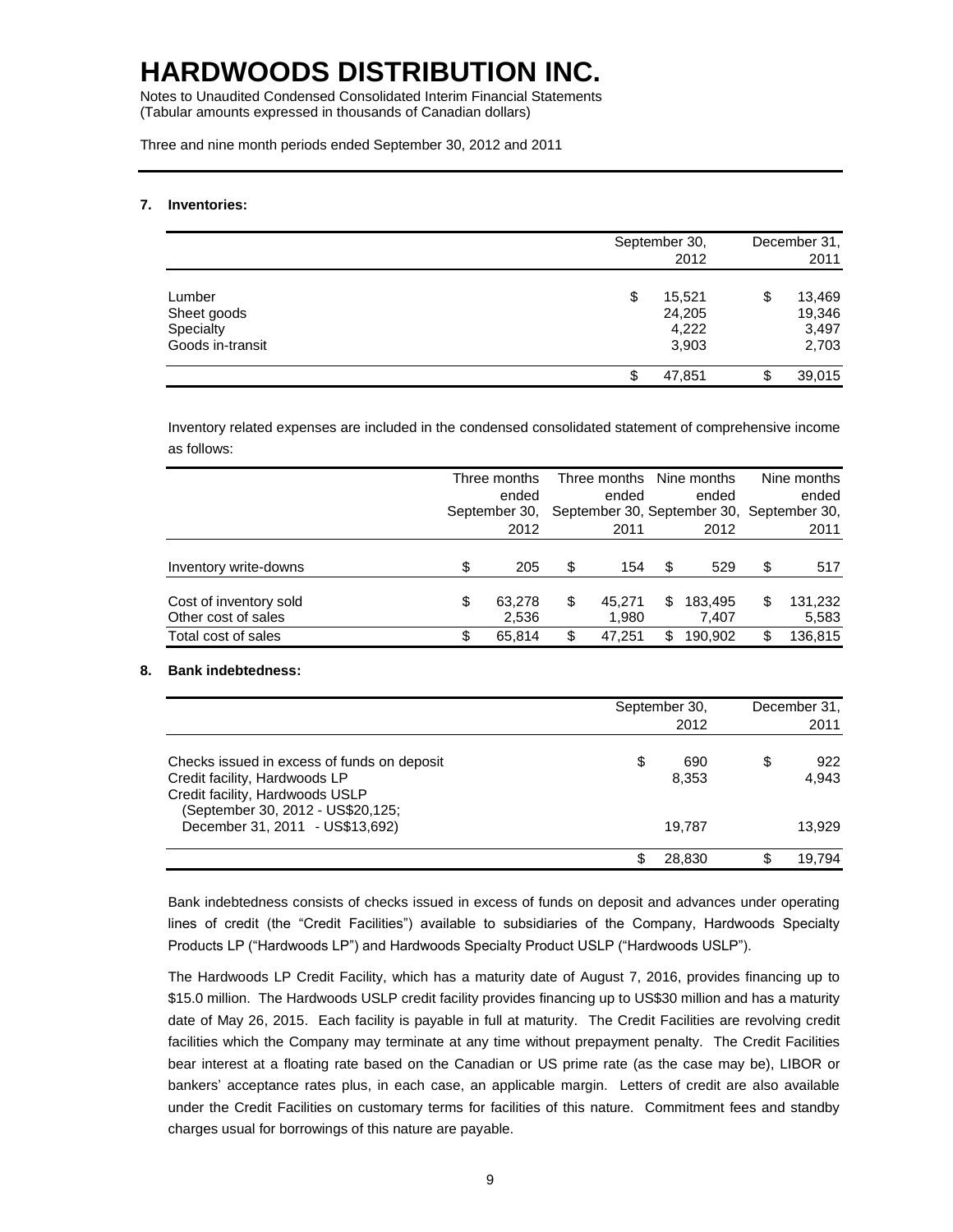Notes to Unaudited Condensed Consolidated Interim Financial Statements (Tabular amounts expressed in thousands of Canadian dollars)

Three and nine month periods ended September 30, 2012 and 2011

### **7. Inventories:**

|                                                        | September 30,<br>2012                    | December 31,<br>2011                     |  |  |
|--------------------------------------------------------|------------------------------------------|------------------------------------------|--|--|
| Lumber<br>Sheet goods<br>Specialty<br>Goods in-transit | 15,521<br>\$<br>24,205<br>4,222<br>3,903 | \$<br>13,469<br>19,346<br>3,497<br>2,703 |  |  |
|                                                        | 47,851<br>\$                             | \$<br>39,015                             |  |  |

Inventory related expenses are included in the condensed consolidated statement of comprehensive income as follows:

|                                               |    | Three months<br>ended<br>September 30,<br>2012 |    | Three months Nine months<br>ended<br>ended<br>September 30, September 30, September 30,<br>2011<br>2012 |   |                  | Nine months<br>ended<br>2011 |                  |  |
|-----------------------------------------------|----|------------------------------------------------|----|---------------------------------------------------------------------------------------------------------|---|------------------|------------------------------|------------------|--|
| Inventory write-downs                         | \$ | 205                                            | \$ | 154                                                                                                     | S | 529              | \$                           | 517              |  |
| Cost of inventory sold<br>Other cost of sales | \$ | 63,278<br>2,536                                | \$ | 45.271<br>1.980                                                                                         | S | 183,495<br>7,407 | \$                           | 131,232<br>5,583 |  |
| Total cost of sales                           | S  | 65.814                                         | \$ | 47.251                                                                                                  | S | 190.902          | \$                           | 136,815          |  |

### **8. Bank indebtedness:**

|                                                                                                                                                                                         | September 30,<br>2012        | December 31,<br>2011         |
|-----------------------------------------------------------------------------------------------------------------------------------------------------------------------------------------|------------------------------|------------------------------|
| Checks issued in excess of funds on deposit<br>Credit facility, Hardwoods LP<br>Credit facility, Hardwoods USLP<br>(September 30, 2012 - US\$20,125;<br>December 31, 2011 - US\$13,692) | \$<br>690<br>8,353<br>19.787 | \$<br>922<br>4,943<br>13.929 |
|                                                                                                                                                                                         | 28,830                       | 19.794                       |

Bank indebtedness consists of checks issued in excess of funds on deposit and advances under operating lines of credit (the "Credit Facilities") available to subsidiaries of the Company, Hardwoods Specialty Products LP ("Hardwoods LP") and Hardwoods Specialty Product USLP ("Hardwoods USLP").

The Hardwoods LP Credit Facility, which has a maturity date of August 7, 2016, provides financing up to \$15.0 million. The Hardwoods USLP credit facility provides financing up to US\$30 million and has a maturity date of May 26, 2015. Each facility is payable in full at maturity. The Credit Facilities are revolving credit facilities which the Company may terminate at any time without prepayment penalty. The Credit Facilities bear interest at a floating rate based on the Canadian or US prime rate (as the case may be), LIBOR or bankers' acceptance rates plus, in each case, an applicable margin. Letters of credit are also available under the Credit Facilities on customary terms for facilities of this nature. Commitment fees and standby charges usual for borrowings of this nature are payable.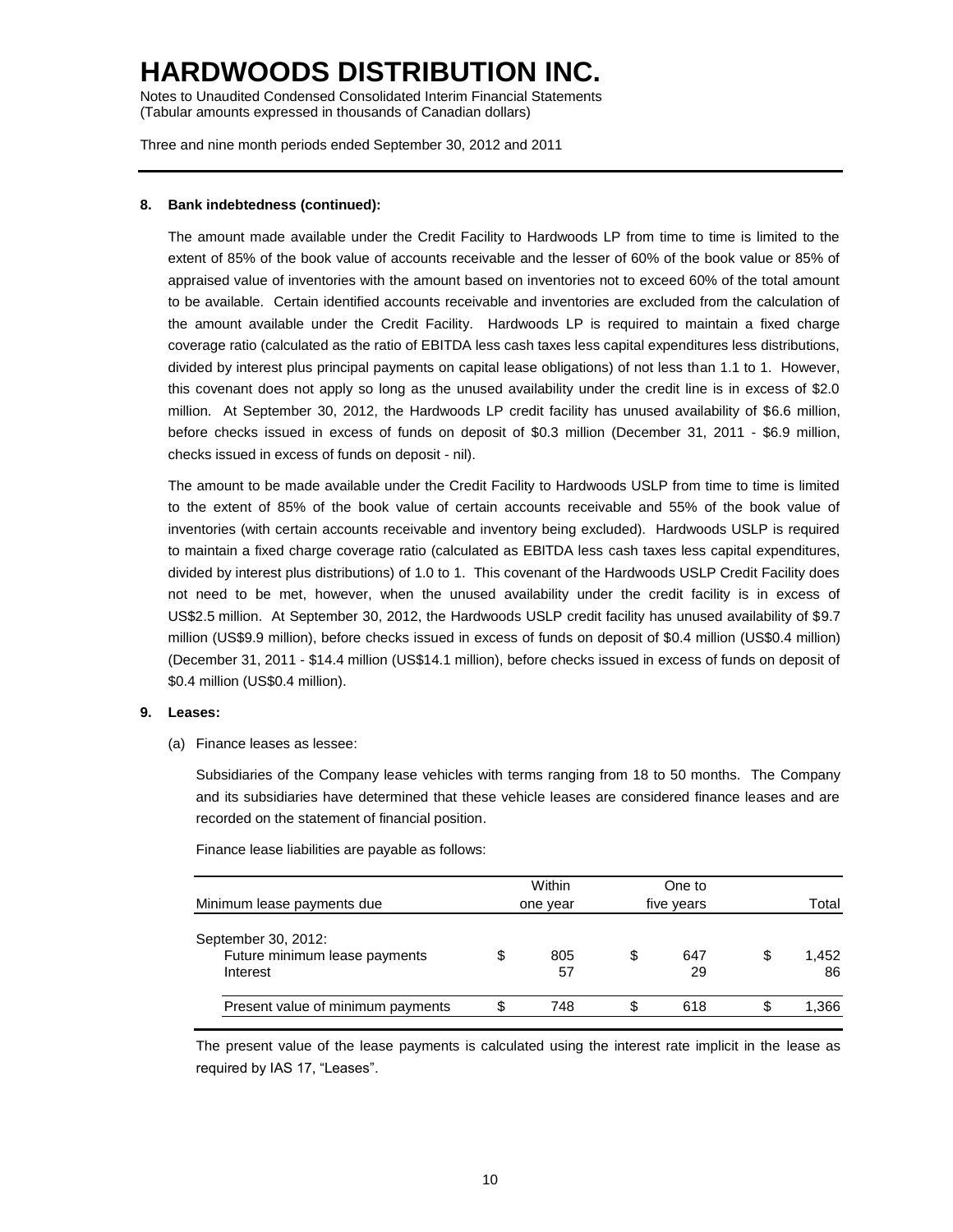Notes to Unaudited Condensed Consolidated Interim Financial Statements (Tabular amounts expressed in thousands of Canadian dollars)

Three and nine month periods ended September 30, 2012 and 2011

### **8. Bank indebtedness (continued):**

The amount made available under the Credit Facility to Hardwoods LP from time to time is limited to the extent of 85% of the book value of accounts receivable and the lesser of 60% of the book value or 85% of appraised value of inventories with the amount based on inventories not to exceed 60% of the total amount to be available. Certain identified accounts receivable and inventories are excluded from the calculation of the amount available under the Credit Facility. Hardwoods LP is required to maintain a fixed charge coverage ratio (calculated as the ratio of EBITDA less cash taxes less capital expenditures less distributions, divided by interest plus principal payments on capital lease obligations) of not less than 1.1 to 1. However, this covenant does not apply so long as the unused availability under the credit line is in excess of \$2.0 million. At September 30, 2012, the Hardwoods LP credit facility has unused availability of \$6.6 million, before checks issued in excess of funds on deposit of \$0.3 million (December 31, 2011 - \$6.9 million, checks issued in excess of funds on deposit - nil).

The amount to be made available under the Credit Facility to Hardwoods USLP from time to time is limited to the extent of 85% of the book value of certain accounts receivable and 55% of the book value of inventories (with certain accounts receivable and inventory being excluded). Hardwoods USLP is required to maintain a fixed charge coverage ratio (calculated as EBITDA less cash taxes less capital expenditures, divided by interest plus distributions) of 1.0 to 1. This covenant of the Hardwoods USLP Credit Facility does not need to be met, however, when the unused availability under the credit facility is in excess of US\$2.5 million. At September 30, 2012, the Hardwoods USLP credit facility has unused availability of \$9.7 million (US\$9.9 million), before checks issued in excess of funds on deposit of \$0.4 million (US\$0.4 million) (December 31, 2011 - \$14.4 million (US\$14.1 million), before checks issued in excess of funds on deposit of \$0.4 million (US\$0.4 million).

#### **9. Leases:**

(a) Finance leases as lessee:

Subsidiaries of the Company lease vehicles with terms ranging from 18 to 50 months. The Company and its subsidiaries have determined that these vehicle leases are considered finance leases and are recorded on the statement of financial position.

Finance lease liabilities are payable as follows:

| Minimum lease payments due                                       | Within<br>one year |   | One to<br>five years | Total             |
|------------------------------------------------------------------|--------------------|---|----------------------|-------------------|
| September 30, 2012:<br>Future minimum lease payments<br>Interest | \$<br>805<br>57    | S | 647<br>29            | \$<br>1,452<br>86 |
| Present value of minimum payments                                | 748                |   | 618                  | \$<br>1,366       |

The present value of the lease payments is calculated using the interest rate implicit in the lease as required by IAS 17, "Leases".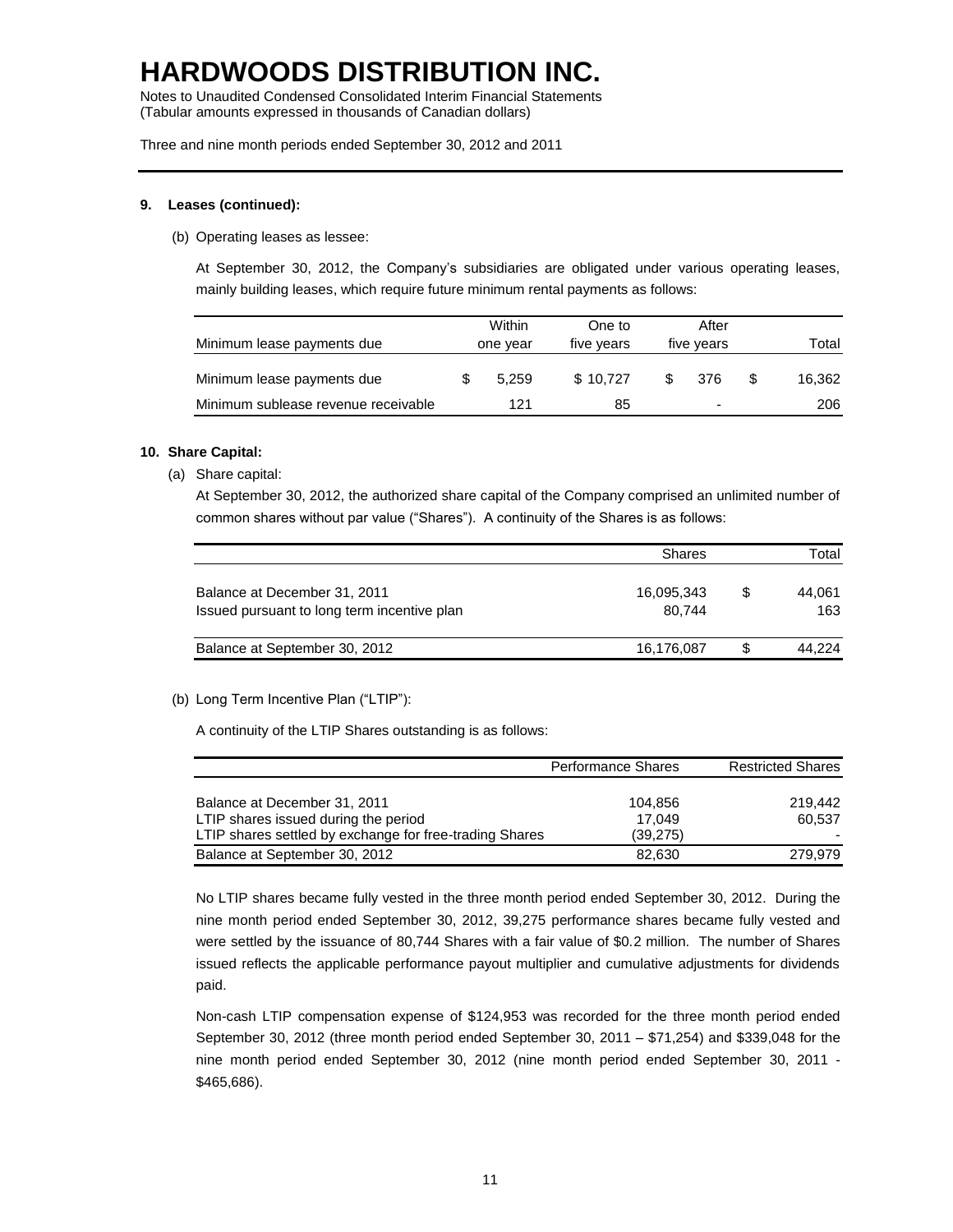Notes to Unaudited Condensed Consolidated Interim Financial Statements (Tabular amounts expressed in thousands of Canadian dollars)

Three and nine month periods ended September 30, 2012 and 2011

### **9. Leases (continued):**

(b) Operating leases as lessee:

At September 30, 2012, the Company's subsidiaries are obligated under various operating leases, mainly building leases, which require future minimum rental payments as follows:

| Minimum lease payments due          | Within<br>one year |       | One to<br>five years | After<br>five years |     | Total  |
|-------------------------------------|--------------------|-------|----------------------|---------------------|-----|--------|
| Minimum lease payments due          |                    | 5.259 | \$10.727             |                     | 376 | 16.362 |
| Minimum sublease revenue receivable |                    | 121   | 85                   |                     | ۰   | 206    |

### **10. Share Capital:**

(a) Share capital:

At September 30, 2012, the authorized share capital of the Company comprised an unlimited number of common shares without par value ("Shares"). A continuity of the Shares is as follows:

|                                             | <b>Shares</b> |     | Total  |  |  |
|---------------------------------------------|---------------|-----|--------|--|--|
| Balance at December 31, 2011                | 16,095,343    | \$. | 44.061 |  |  |
| Issued pursuant to long term incentive plan | 80.744        |     | 163    |  |  |
| Balance at September 30, 2012               | 16,176,087    | S   | 44.224 |  |  |
|                                             |               |     |        |  |  |

(b) Long Term Incentive Plan ("LTIP"):

A continuity of the LTIP Shares outstanding is as follows:

|                                                                                                 | <b>Performance Shares</b> | <b>Restricted Shares</b> |
|-------------------------------------------------------------------------------------------------|---------------------------|--------------------------|
| Balance at December 31, 2011                                                                    | 104.856                   | 219.442                  |
| LTIP shares issued during the period<br>LTIP shares settled by exchange for free-trading Shares | 17.049<br>(39, 275)       | 60.537                   |
| Balance at September 30, 2012                                                                   | 82.630                    | 279.979                  |

No LTIP shares became fully vested in the three month period ended September 30, 2012. During the nine month period ended September 30, 2012, 39,275 performance shares became fully vested and were settled by the issuance of 80,744 Shares with a fair value of \$0.2 million. The number of Shares issued reflects the applicable performance payout multiplier and cumulative adjustments for dividends paid.

Non-cash LTIP compensation expense of \$124,953 was recorded for the three month period ended September 30, 2012 (three month period ended September 30, 2011 – \$71,254) and \$339,048 for the nine month period ended September 30, 2012 (nine month period ended September 30, 2011 - \$465,686).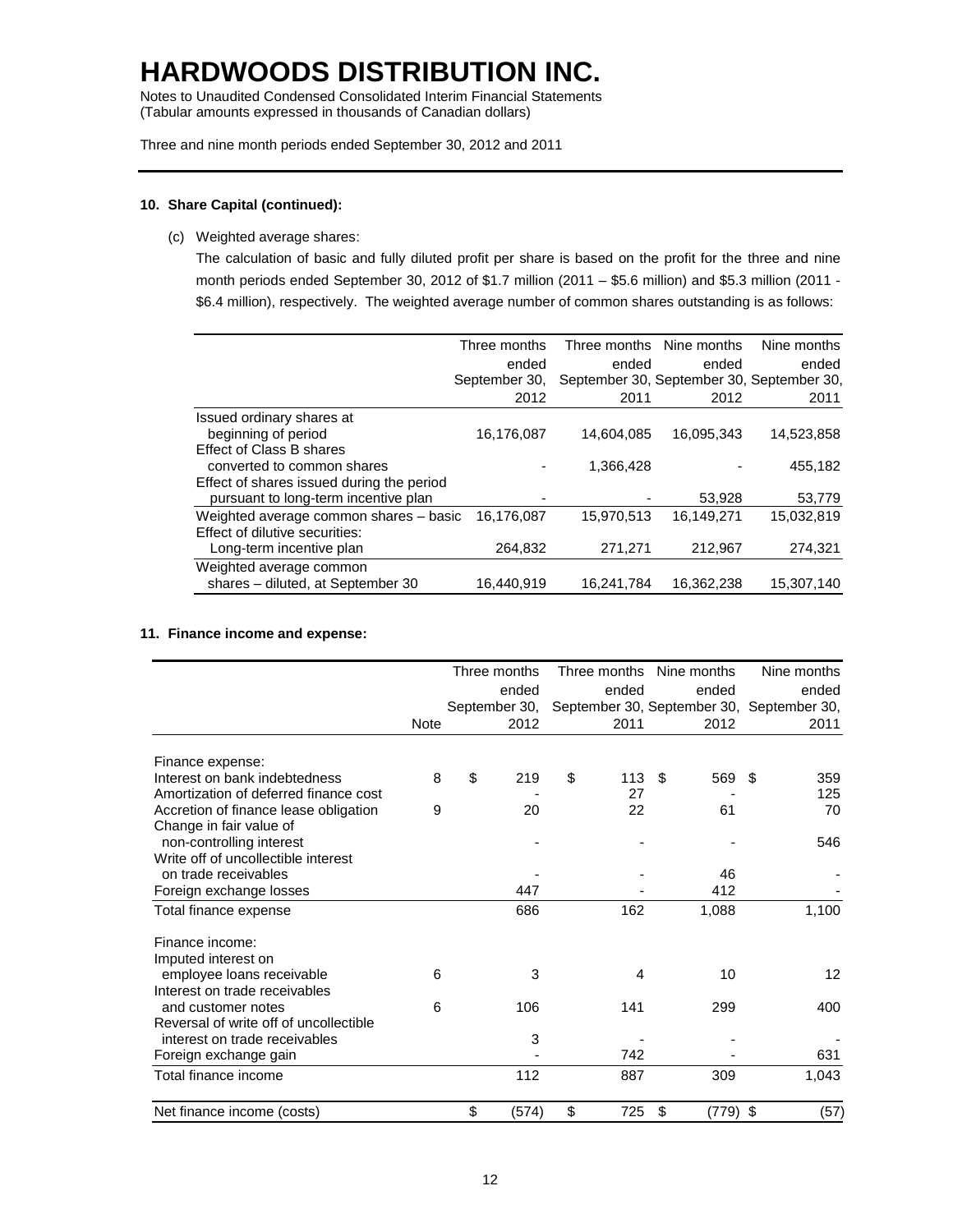Notes to Unaudited Condensed Consolidated Interim Financial Statements (Tabular amounts expressed in thousands of Canadian dollars)

Three and nine month periods ended September 30, 2012 and 2011

### **10. Share Capital (continued):**

(c) Weighted average shares:

The calculation of basic and fully diluted profit per share is based on the profit for the three and nine month periods ended September 30, 2012 of \$1.7 million (2011 – \$5.6 million) and \$5.3 million (2011 - \$6.4 million), respectively. The weighted average number of common shares outstanding is as follows:

|                                           | Three months  |            | Three months Nine months | Nine months                               |
|-------------------------------------------|---------------|------------|--------------------------|-------------------------------------------|
|                                           | ended         | ended      | ended                    | ended                                     |
|                                           | September 30. |            |                          | September 30, September 30, September 30, |
|                                           | 2012          | 2011       | 2012                     | 2011                                      |
| Issued ordinary shares at                 |               |            |                          |                                           |
| beginning of period                       | 16,176,087    | 14,604,085 | 16,095,343               | 14,523,858                                |
| <b>Effect of Class B shares</b>           |               |            |                          |                                           |
| converted to common shares                |               | 1.366.428  |                          | 455,182                                   |
| Effect of shares issued during the period |               |            |                          |                                           |
| pursuant to long-term incentive plan      |               |            | 53,928                   | 53,779                                    |
| Weighted average common shares - basic    | 16,176,087    | 15,970,513 | 16,149,271               | 15,032,819                                |
| Effect of dilutive securities:            |               |            |                          |                                           |
| Long-term incentive plan                  | 264,832       | 271,271    | 212,967                  | 274,321                                   |
| Weighted average common                   |               |            |                          |                                           |
| shares - diluted, at September 30         | 16,440,919    | 16,241,784 | 16,362,238               | 15,307,140                                |

### **11. Finance income and expense:**

|                                        |             | Three months |               | Three months | Nine months      | Nine months                               |      |
|----------------------------------------|-------------|--------------|---------------|--------------|------------------|-------------------------------------------|------|
|                                        |             |              | ended         | ended        | ended            | ended                                     |      |
|                                        |             |              | September 30, |              |                  | September 30, September 30, September 30, |      |
|                                        | <b>Note</b> |              | 2012          | 2011         | 2012             | 2011                                      |      |
| Finance expense:                       |             |              |               |              |                  |                                           |      |
| Interest on bank indebtedness          | 8           | \$           | 219           | \$<br>113    | \$<br>569        | 359<br>- \$                               |      |
| Amortization of deferred finance cost  |             |              |               | 27           |                  | 125                                       |      |
| Accretion of finance lease obligation  | 9           |              | 20            | 22           | 61               |                                           | 70   |
| Change in fair value of                |             |              |               |              |                  |                                           |      |
| non-controlling interest               |             |              |               |              |                  | 546                                       |      |
| Write off of uncollectible interest    |             |              |               |              |                  |                                           |      |
| on trade receivables                   |             |              |               |              | 46               |                                           |      |
| Foreign exchange losses                |             |              | 447           |              | 412              |                                           |      |
| Total finance expense                  |             |              | 686           | 162          | 1,088            | 1,100                                     |      |
| Finance income:                        |             |              |               |              |                  |                                           |      |
| Imputed interest on                    |             |              |               |              |                  |                                           |      |
| employee loans receivable              | 6           |              | 3             | 4            | 10               |                                           | 12   |
| Interest on trade receivables          |             |              |               |              |                  |                                           |      |
| and customer notes                     | 6           |              | 106           | 141          | 299              | 400                                       |      |
| Reversal of write off of uncollectible |             |              |               |              |                  |                                           |      |
| interest on trade receivables          |             |              | 3             |              |                  |                                           |      |
| Foreign exchange gain                  |             |              |               | 742          |                  | 631                                       |      |
| Total finance income                   |             |              | 112           | 887          | 309              | 1,043                                     |      |
| Net finance income (costs)             |             | \$           | (574)         | \$<br>725    | \$<br>$(779)$ \$ |                                           | (57) |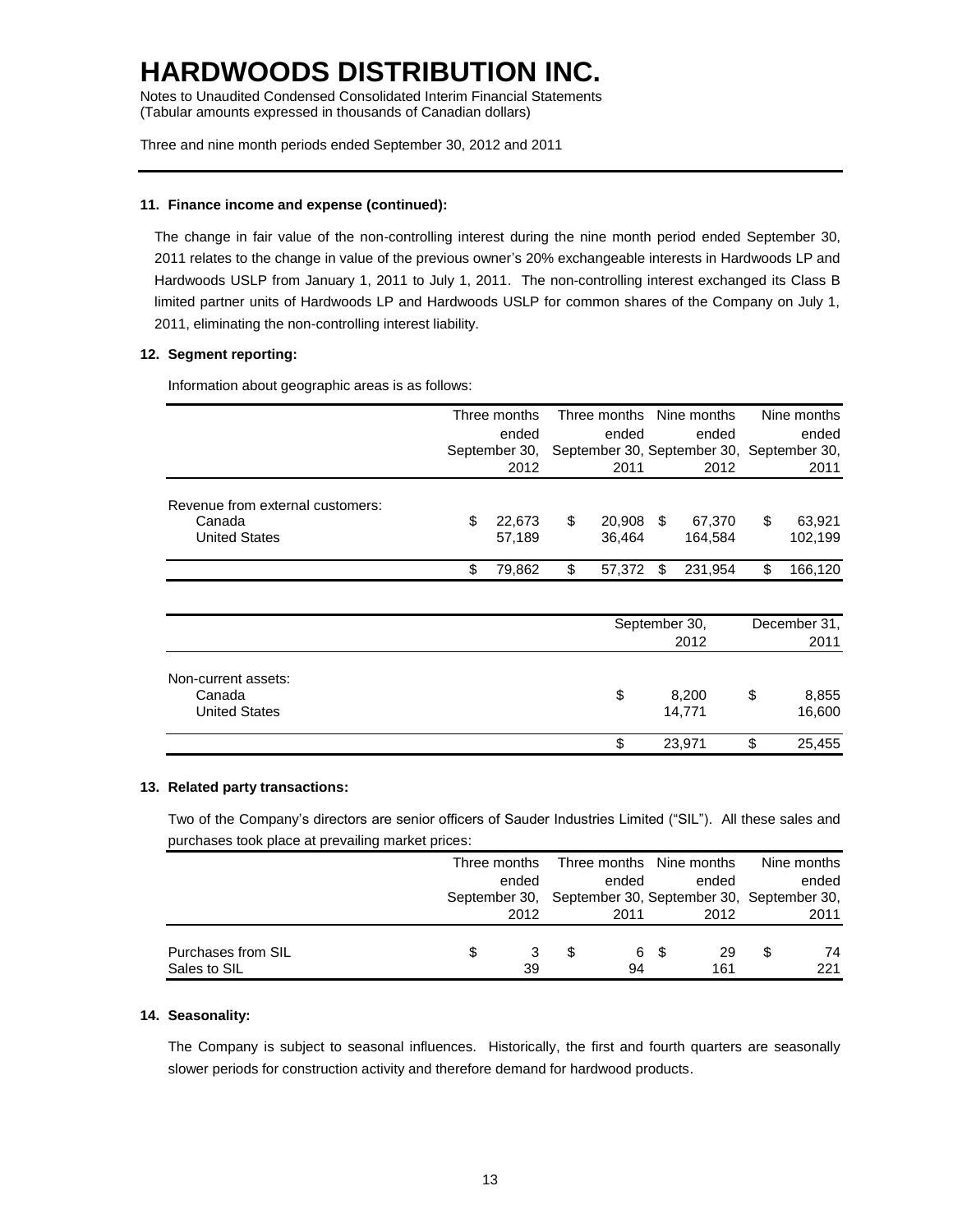Notes to Unaudited Condensed Consolidated Interim Financial Statements (Tabular amounts expressed in thousands of Canadian dollars)

Three and nine month periods ended September 30, 2012 and 2011

### **11. Finance income and expense (continued):**

The change in fair value of the non-controlling interest during the nine month period ended September 30, 2011 relates to the change in value of the previous owner's 20% exchangeable interests in Hardwoods LP and Hardwoods USLP from January 1, 2011 to July 1, 2011. The non-controlling interest exchanged its Class B limited partner units of Hardwoods LP and Hardwoods USLP for common shares of the Company on July 1, 2011, eliminating the non-controlling interest liability.

### **12. Segment reporting:**

Information about geographic areas is as follows:

|                                                                    |     | Three months<br>ended<br>September 30, | Three months Nine months<br>ended<br>September 30, September 30, September 30, |                  |    | ended             |    | Nine months<br>ended |
|--------------------------------------------------------------------|-----|----------------------------------------|--------------------------------------------------------------------------------|------------------|----|-------------------|----|----------------------|
|                                                                    |     | 2012                                   | 2011                                                                           |                  |    | 2012              |    | 2011                 |
| Revenue from external customers:<br>Canada<br><b>United States</b> | \$. | 22.673<br>57,189                       | \$                                                                             | 20,908<br>36,464 | \$ | 67.370<br>164.584 | \$ | 63.921<br>102,199    |
|                                                                    | \$. | 79.862                                 | S                                                                              | 57.372           | £. | 231.954           | £. | 166,120              |

|                                                       | September 30,<br>2012 |    | December 31,<br>2011 |
|-------------------------------------------------------|-----------------------|----|----------------------|
| Non-current assets:<br>Canada<br><b>United States</b> | \$<br>8,200<br>14,771 | \$ | 8,855<br>16,600      |
|                                                       | 23,971<br>\$          | S  | 25,455               |

### **13. Related party transactions:**

Two of the Company's directors are senior officers of Sauder Industries Limited ("SIL"). All these sales and purchases took place at prevailing market prices:

|                    |   | Three months |                                                         | Three months Nine months | Nine months |
|--------------------|---|--------------|---------------------------------------------------------|--------------------------|-------------|
|                    |   | ended        | ended                                                   | ended                    | ended       |
|                    |   |              | September 30, September 30, September 30, September 30, |                          |             |
|                    |   | 2012         | 2011                                                    | 2012                     | 2011        |
|                    |   |              |                                                         |                          |             |
| Purchases from SIL | S |              | 6                                                       | 29                       | 74          |
| Sales to SIL       |   | 39           | 94                                                      | 161                      | 221         |

### **14. Seasonality:**

The Company is subject to seasonal influences. Historically, the first and fourth quarters are seasonally slower periods for construction activity and therefore demand for hardwood products.